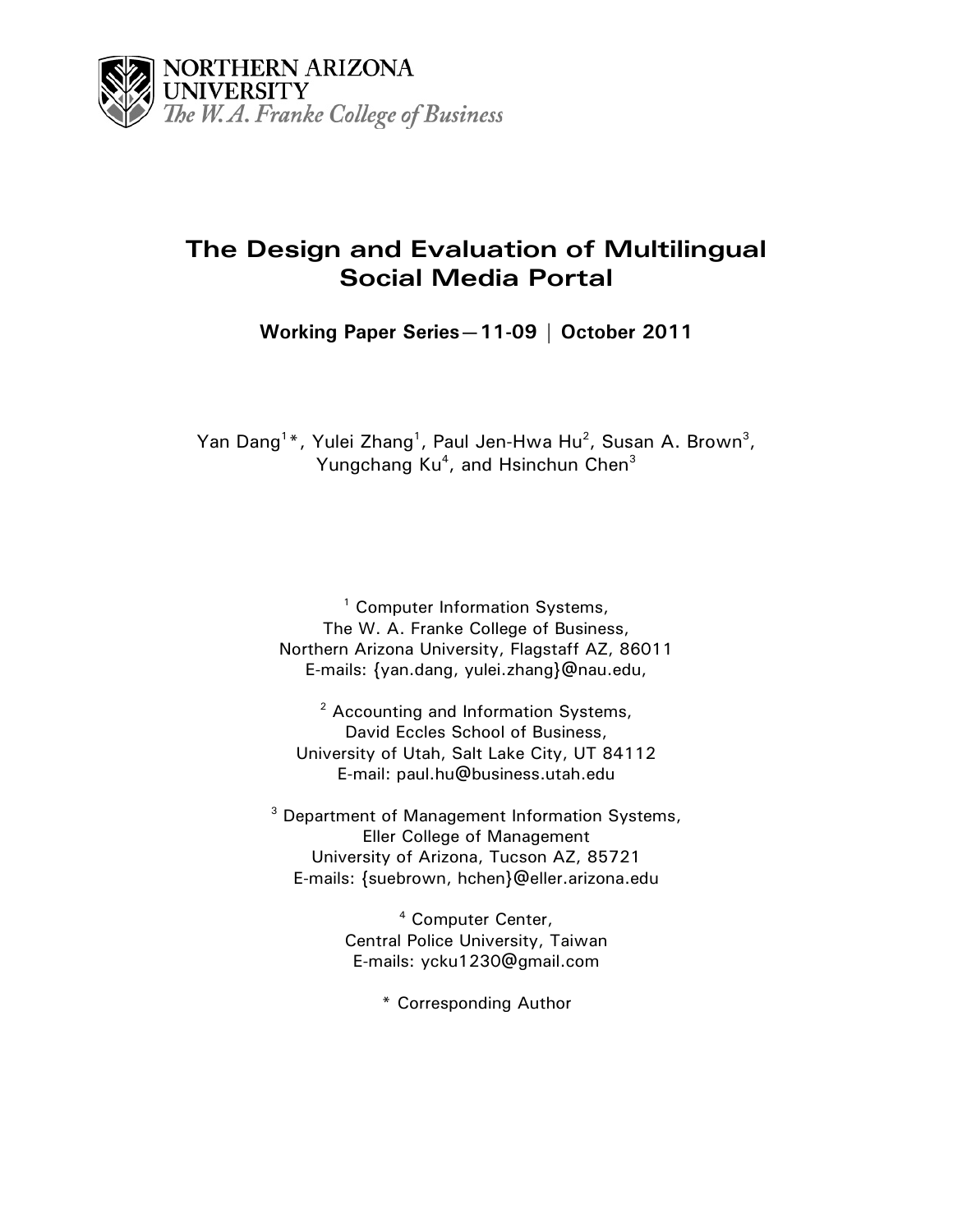

# **The Design and Evaluation of Multilingual Social Media Portal**

**Working Paper Series—11-09 | October 2011**

Yan Dang<sup>1\*</sup>, Yulei Zhang<sup>1</sup>, Paul Jen-Hwa Hu<sup>2</sup>, Susan A. Brown<sup>3</sup>, Yungchang Ku<sup>4</sup>, and Hsinchun Chen<sup>3</sup>

> <sup>1</sup> Computer Information Systems, The W. A. Franke College of Business, Northern Arizona University, Flagstaff AZ, 86011 E-mails: {yan.dang, yulei.zhan[g}@nau.edu,](mailto:ylzhang%7d@email.arizona.edu)

<sup>2</sup> Accounting and Information Systems, David Eccles School of Business, University of Utah, Salt Lake City, UT 84112 E-mail: paul.hu@business.utah.edu

<sup>3</sup> Department of Management Information Systems, Eller College of Management University of Arizona, Tucson AZ, 85721 E-mails: [{suebrown,](mailto:suebrown@eller.arizona.edu) hchen}@eller.arizona.edu

> <sup>4</sup> Computer Center, Central Police University, Taiwan E-mails: ycku1230@gmail.com

> > \* Corresponding Author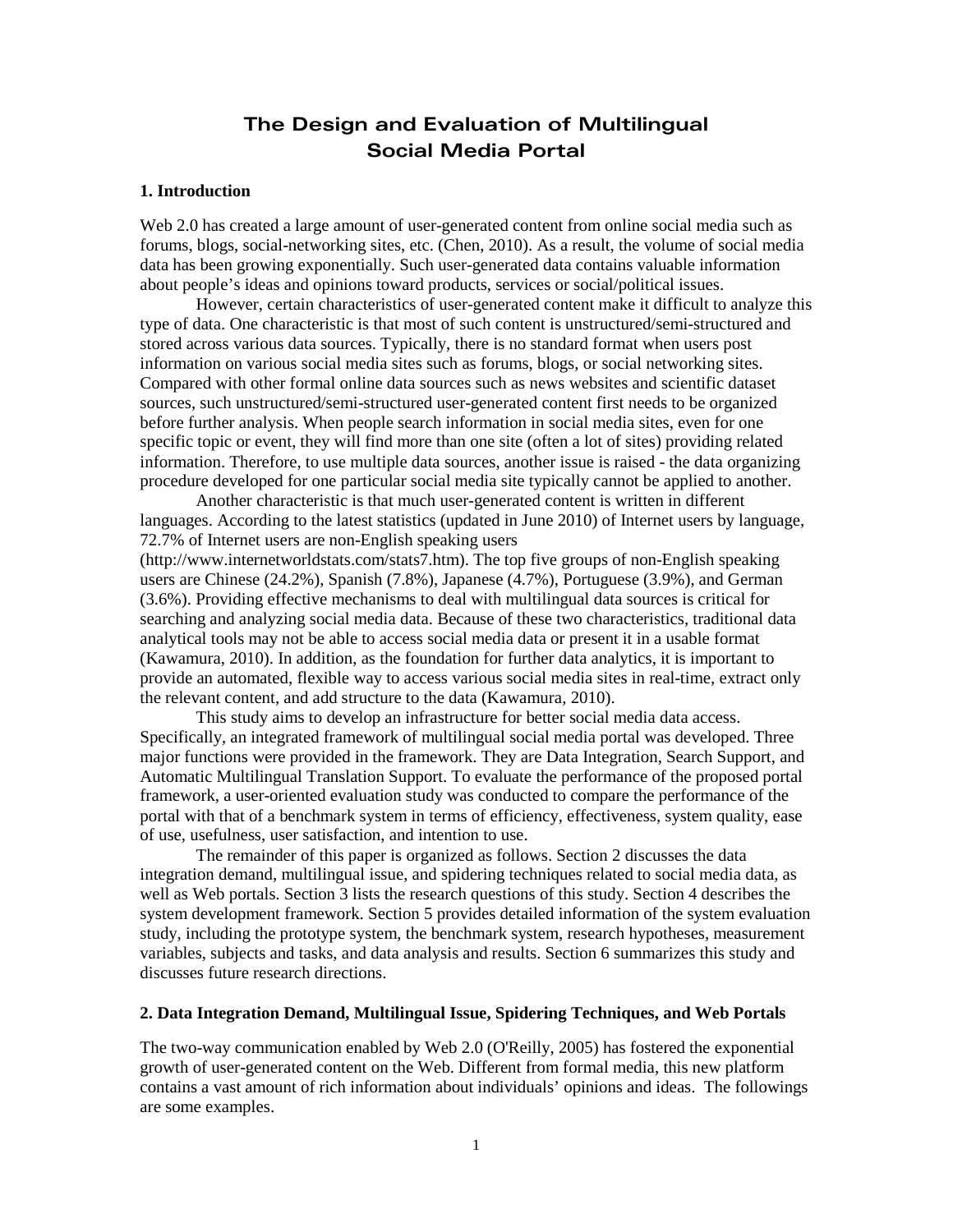# **The Design and Evaluation of Multilingual Social Media Portal**

### **1. Introduction**

Web 2.0 has created a large amount of user-generated content from online social media such as forums, blogs, social-networking sites, etc. [\(Chen, 2010\)](#page-13-0). As a result, the volume of social media data has been growing exponentially. Such user-generated data contains valuable information about people's ideas and opinions toward products, services or social/political issues.

However, certain characteristics of user-generated content make it difficult to analyze this type of data. One characteristic is that most of such content is unstructured/semi-structured and stored across various data sources. Typically, there is no standard format when users post information on various social media sites such as forums, blogs, or social networking sites. Compared with other formal online data sources such as news websites and scientific dataset sources, such unstructured/semi-structured user-generated content first needs to be organized before further analysis. When people search information in social media sites, even for one specific topic or event, they will find more than one site (often a lot of sites) providing related information. Therefore, to use multiple data sources, another issue is raised - the data organizing procedure developed for one particular social media site typically cannot be applied to another.

Another characteristic is that much user-generated content is written in different languages. According to the latest statistics (updated in June 2010) of Internet users by language, 72.7% of Internet users are non-English speaking users

[\(http://www.internetworldstats.com/stats7.htm\)](http://www.internetworldstats.com/stats7.htm). The top five groups of non-English speaking users are Chinese (24.2%), Spanish (7.8%), Japanese (4.7%), Portuguese (3.9%), and German (3.6%). Providing effective mechanisms to deal with multilingual data sources is critical for searching and analyzing social media data. Because of these two characteristics, traditional data analytical tools may not be able to access social media data or present it in a usable format [\(Kawamura, 2010\)](#page-14-0). In addition, as the foundation for further data analytics, it is important to provide an automated, flexible way to access various social media sites in real-time, extract only the relevant content, and add structure to the data [\(Kawamura, 2010\)](#page-14-0).

This study aims to develop an infrastructure for better social media data access. Specifically, an integrated framework of multilingual social media portal was developed. Three major functions were provided in the framework. They are Data Integration, Search Support, and Automatic Multilingual Translation Support. To evaluate the performance of the proposed portal framework, a user-oriented evaluation study was conducted to compare the performance of the portal with that of a benchmark system in terms of efficiency, effectiveness, system quality, ease of use, usefulness, user satisfaction, and intention to use.

The remainder of this paper is organized as follows. Section 2 discusses the data integration demand, multilingual issue, and spidering techniques related to social media data, as well as Web portals. Section 3 lists the research questions of this study. Section 4 describes the system development framework. Section 5 provides detailed information of the system evaluation study, including the prototype system, the benchmark system, research hypotheses, measurement variables, subjects and tasks, and data analysis and results. Section 6 summarizes this study and discusses future research directions.

### **2. Data Integration Demand, Multilingual Issue, Spidering Techniques, and Web Portals**

The two-way communication enabled by Web 2.0 [\(O'Reilly, 2005\)](#page-14-1) has fostered the exponential growth of user-generated content on the Web. Different from formal media, this new platform contains a vast amount of rich information about individuals' opinions and ideas. The followings are some examples.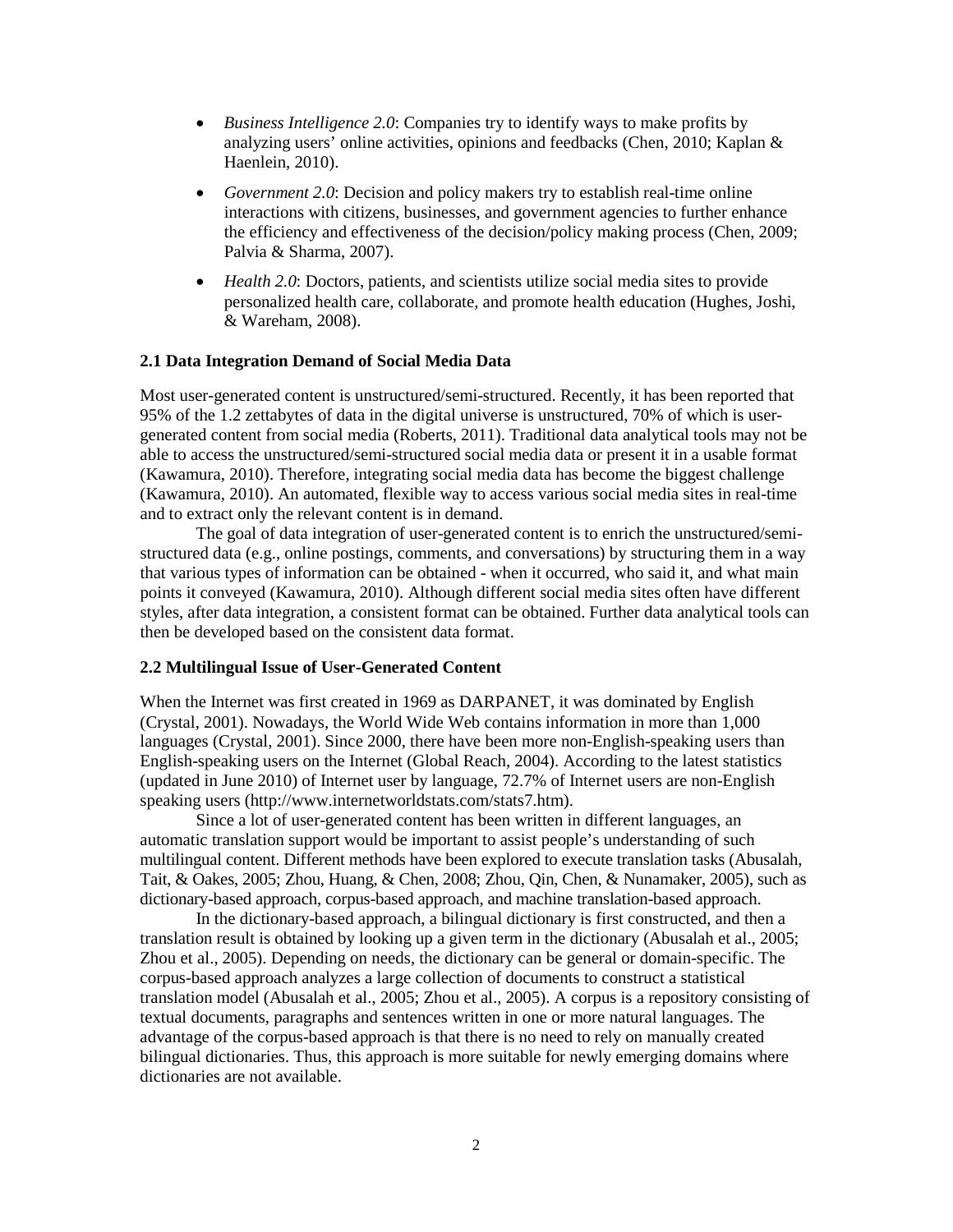- *Business Intelligence 2.0*: Companies try to identify ways to make profits by analyzing users' online activities, opinions and feedbacks [\(Chen, 2010;](#page-13-0) [Kaplan &](#page-14-2)  [Haenlein, 2010\)](#page-14-2).
- *Government 2.0*: Decision and policy makers try to establish real-time online interactions with citizens, businesses, and government agencies to further enhance the efficiency and effectiveness of the decision/policy making process [\(Chen, 2009;](#page-13-1) [Palvia & Sharma, 2007\)](#page-14-3).
- *Health 2.0*: Doctors, patients, and scientists utilize social media sites to provide personalized health care, collaborate, and promote health education [\(Hughes, Joshi,](#page-14-4)  [& Wareham, 2008\)](#page-14-4).

### **2.1 Data Integration Demand of Social Media Data**

Most user-generated content is unstructured/semi-structured. Recently, it has been reported that 95% of the 1.2 zettabytes of data in the digital universe is unstructured, 70% of which is usergenerated content from social media [\(Roberts, 2011\)](#page-14-5). Traditional data analytical tools may not be able to access the unstructured/semi-structured social media data or present it in a usable format [\(Kawamura, 2010\)](#page-14-0). Therefore, integrating social media data has become the biggest challenge [\(Kawamura, 2010\)](#page-14-0). An automated, flexible way to access various social media sites in real-time and to extract only the relevant content is in demand.

The goal of data integration of user-generated content is to enrich the unstructured/semistructured data (e.g., online postings, comments, and conversations) by structuring them in a way that various types of information can be obtained - when it occurred, who said it, and what main points it conveyed [\(Kawamura, 2010\)](#page-14-0). Although different social media sites often have different styles, after data integration, a consistent format can be obtained. Further data analytical tools can then be developed based on the consistent data format.

### **2.2 Multilingual Issue of User-Generated Content**

When the Internet was first created in 1969 as DARPANET, it was dominated by English [\(Crystal, 2001\)](#page-13-2). Nowadays, the World Wide Web contains information in more than 1,000 languages [\(Crystal, 2001\)](#page-13-2). Since 2000, there have been more non-English-speaking users than English-speaking users on the Internet [\(Global Reach, 2004\)](#page-14-6). According to the latest statistics (updated in June 2010) of Internet user by language, 72.7% of Internet users are non-English speaking users [\(http://www.internetworldstats.com/stats7.htm\)](http://www.internetworldstats.com/stats7.htm).

Since a lot of user-generated content has been written in different languages, an automatic translation support would be important to assist people's understanding of such multilingual content. Different methods have been explored to execute translation tasks [\(Abusalah,](#page-13-3)  [Tait, & Oakes, 2005;](#page-13-3) [Zhou, Huang, & Chen, 2008;](#page-14-7) [Zhou, Qin, Chen, & Nunamaker, 2005\)](#page-14-8), such as dictionary-based approach, corpus-based approach, and machine translation-based approach.

In the dictionary-based approach, a bilingual dictionary is first constructed, and then a translation result is obtained by looking up a given term in the dictionary [\(Abusalah et al., 2005;](#page-13-3) [Zhou et al., 2005\)](#page-14-8). Depending on needs, the dictionary can be general or domain-specific. The corpus-based approach analyzes a large collection of documents to construct a statistical translation model [\(Abusalah et al., 2005;](#page-13-3) [Zhou et al., 2005\)](#page-14-8). A corpus is a repository consisting of textual documents, paragraphs and sentences written in one or more natural languages. The advantage of the corpus-based approach is that there is no need to rely on manually created bilingual dictionaries. Thus, this approach is more suitable for newly emerging domains where dictionaries are not available.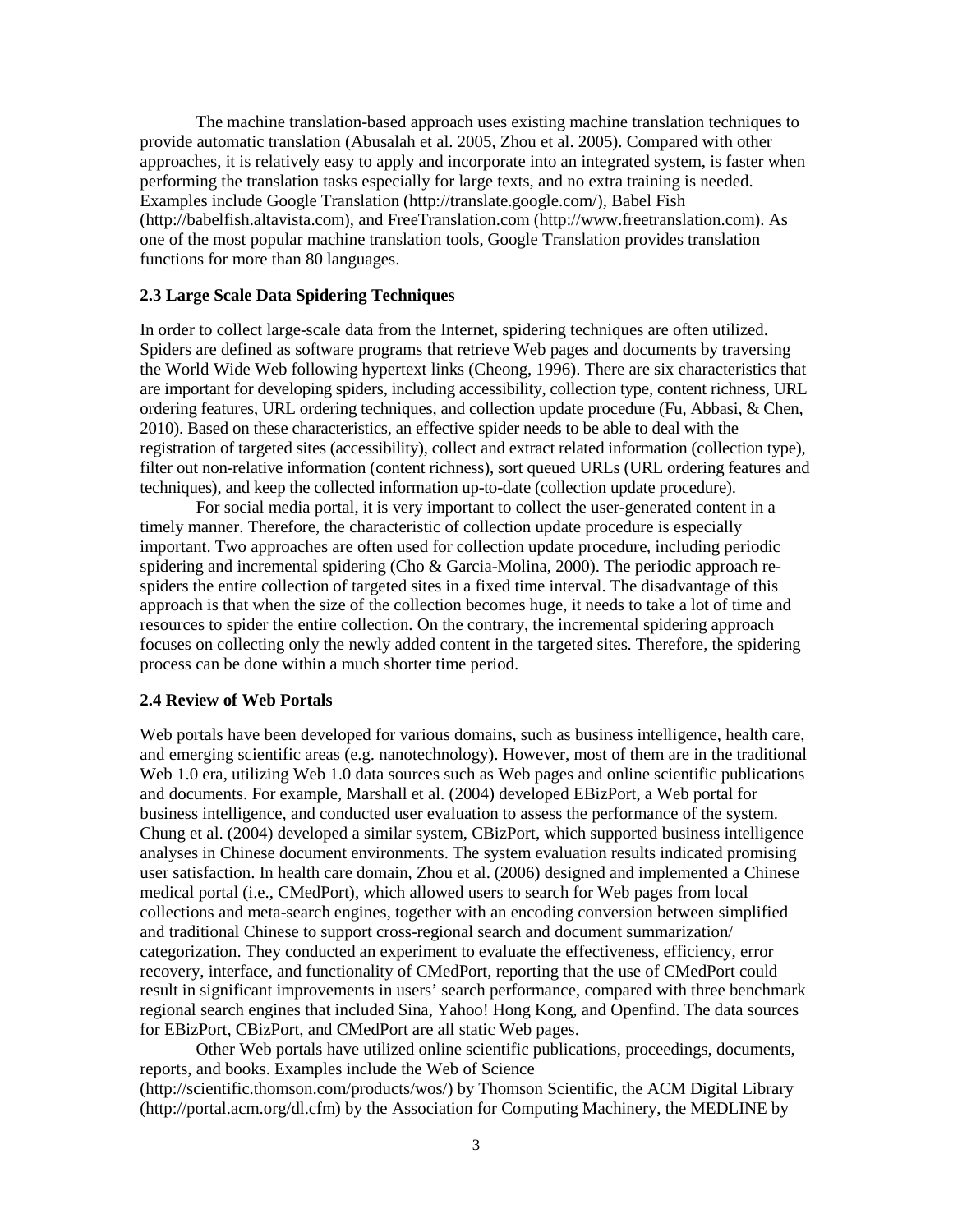The machine translation-based approach uses existing machine translation techniques to provide automatic translation (Abusalah et al. 2005, Zhou et al. 2005). Compared with other approaches, it is relatively easy to apply and incorporate into an integrated system, is faster when performing the translation tasks especially for large texts, and no extra training is needed. Examples include Google Translation [\(http://translate.google.com/\)](http://translate.google.com/), Babel Fish [\(http://babelfish.altavista.com\)](http://babelfish.altavista.com/), and FreeTranslation.com [\(http://www.freetranslation.com\)](http://www.freetranslation.com/). As one of the most popular machine translation tools, Google Translation provides translation functions for more than 80 languages.

### **2.3 Large Scale Data Spidering Techniques**

In order to collect large-scale data from the Internet, spidering techniques are often utilized. Spiders are defined as software programs that retrieve Web pages and documents by traversing the World Wide Web following hypertext links [\(Cheong, 1996\)](#page-13-4). There are six characteristics that are important for developing spiders, including accessibility, collection type, content richness, URL ordering features, URL ordering techniques, and collection update procedure [\(Fu, Abbasi, & Chen,](#page-13-5)  [2010\)](#page-13-5). Based on these characteristics, an effective spider needs to be able to deal with the registration of targeted sites (accessibility), collect and extract related information (collection type), filter out non-relative information (content richness), sort queued URLs (URL ordering features and techniques), and keep the collected information up-to-date (collection update procedure).

For social media portal, it is very important to collect the user-generated content in a timely manner. Therefore, the characteristic of collection update procedure is especially important. Two approaches are often used for collection update procedure, including periodic spidering and incremental spidering [\(Cho & Garcia-Molina, 2000\)](#page-13-6). The periodic approach respiders the entire collection of targeted sites in a fixed time interval. The disadvantage of this approach is that when the size of the collection becomes huge, it needs to take a lot of time and resources to spider the entire collection. On the contrary, the incremental spidering approach focuses on collecting only the newly added content in the targeted sites. Therefore, the spidering process can be done within a much shorter time period.

### **2.4 Review of Web Portals**

Web portals have been developed for various domains, such as business intelligence, health care, and emerging scientific areas (e.g. nanotechnology). However, most of them are in the traditional Web 1.0 era, utilizing Web 1.0 data sources such as Web pages and online scientific publications and documents. For example, Marshall et al. [\(2004\)](#page-14-9) developed EBizPort, a Web portal for business intelligence, and conducted user evaluation to assess the performance of the system. Chung et al. [\(2004\)](#page-13-7) developed a similar system, CBizPort, which supported business intelligence analyses in Chinese document environments. The system evaluation results indicated promising user satisfaction. In health care domain, Zhou et al. [\(2006\)](#page-14-10) designed and implemented a Chinese medical portal (i.e., CMedPort), which allowed users to search for Web pages from local collections and meta-search engines, together with an encoding conversion between simplified and traditional Chinese to support cross-regional search and document summarization/ categorization. They conducted an experiment to evaluate the effectiveness, efficiency, error recovery, interface, and functionality of CMedPort, reporting that the use of CMedPort could result in significant improvements in users' search performance, compared with three benchmark regional search engines that included Sina, Yahoo! Hong Kong, and Openfind. The data sources for EBizPort, CBizPort, and CMedPort are all static Web pages.

Other Web portals have utilized online scientific publications, proceedings, documents, reports, and books. Examples include the Web of Science (http://scientific.thomson.com/products/wos/) by Thomson Scientific, the ACM Digital Library (http://portal.acm.org/dl.cfm) by the Association for Computing Machinery, the MEDLINE by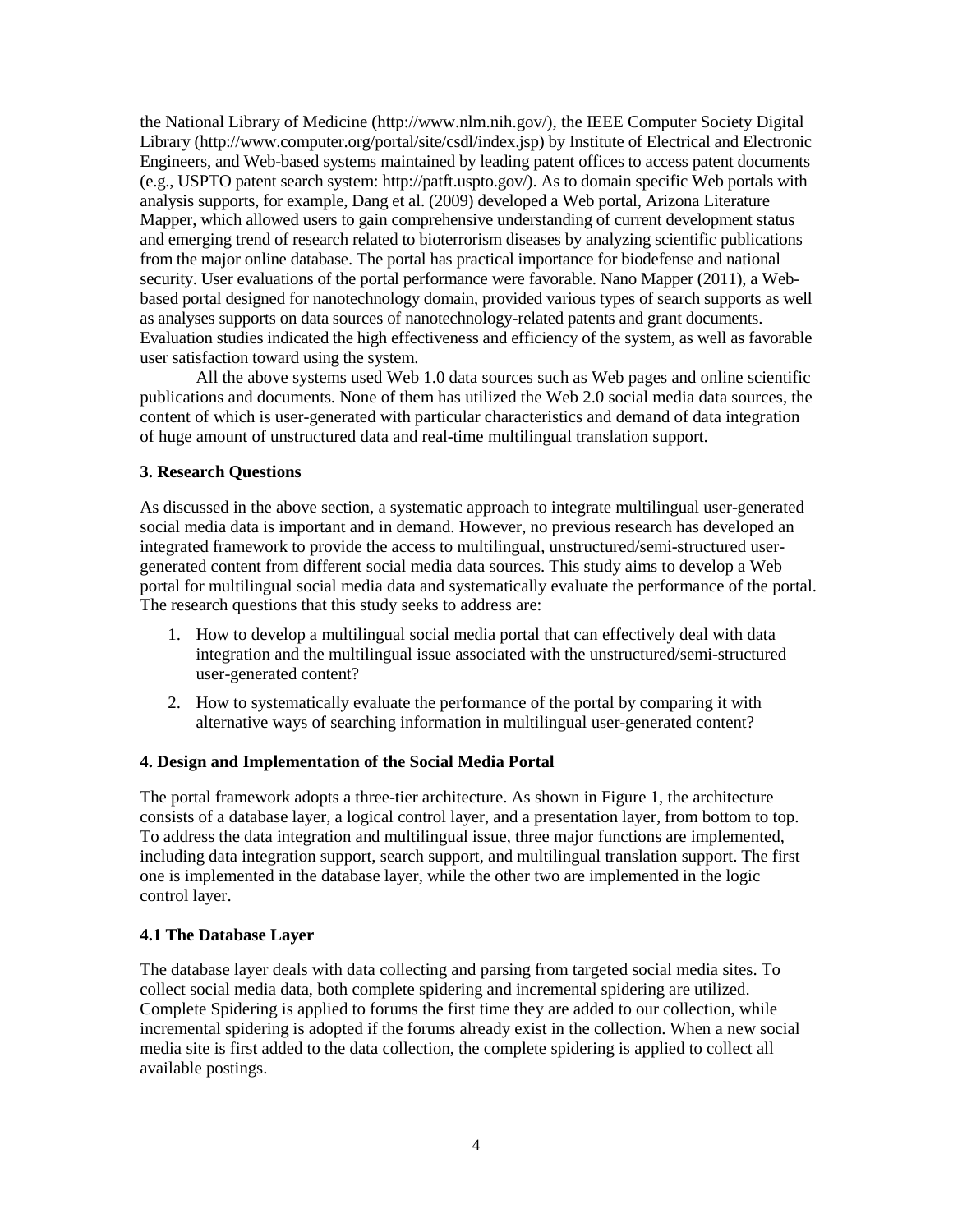the National Library of Medicine [\(http://www.nlm.nih.gov/\)](http://www.nlm.nih.gov/), the IEEE Computer Society Digital Library (http://www.computer.org/portal/site/csdl/index.jsp) by Institute of Electrical and Electronic Engineers, and Web-based systems maintained by leading patent offices to access patent documents (e.g., USPTO patent search system: http://patft.uspto.gov/). As to domain specific Web portals with analysis supports, for example, Dang et al. [\(2009\)](#page-13-8) developed a Web portal, Arizona Literature Mapper, which allowed users to gain comprehensive understanding of current development status and emerging trend of research related to bioterrorism diseases by analyzing scientific publications from the major online database. The portal has practical importance for biodefense and national security. User evaluations of the portal performance were favorable. Nano Mapper [\(2011\)](#page-13-9), a Webbased portal designed for nanotechnology domain, provided various types of search supports as well as analyses supports on data sources of nanotechnology-related patents and grant documents. Evaluation studies indicated the high effectiveness and efficiency of the system, as well as favorable user satisfaction toward using the system.

All the above systems used Web 1.0 data sources such as Web pages and online scientific publications and documents. None of them has utilized the Web 2.0 social media data sources, the content of which is user-generated with particular characteristics and demand of data integration of huge amount of unstructured data and real-time multilingual translation support.

### **3. Research Questions**

As discussed in the above section, a systematic approach to integrate multilingual user-generated social media data is important and in demand. However, no previous research has developed an integrated framework to provide the access to multilingual, unstructured/semi-structured usergenerated content from different social media data sources. This study aims to develop a Web portal for multilingual social media data and systematically evaluate the performance of the portal. The research questions that this study seeks to address are:

- 1. How to develop a multilingual social media portal that can effectively deal with data integration and the multilingual issue associated with the unstructured/semi-structured user-generated content?
- 2. How to systematically evaluate the performance of the portal by comparing it with alternative ways of searching information in multilingual user-generated content?

# **4. Design and Implementation of the Social Media Portal**

The portal framework adopts a three-tier architecture. As shown in Figure 1, the architecture consists of a database layer, a logical control layer, and a presentation layer, from bottom to top. To address the data integration and multilingual issue, three major functions are implemented, including data integration support, search support, and multilingual translation support. The first one is implemented in the database layer, while the other two are implemented in the logic control layer.

### **4.1 The Database Layer**

The database layer deals with data collecting and parsing from targeted social media sites. To collect social media data, both complete spidering and incremental spidering are utilized. Complete Spidering is applied to forums the first time they are added to our collection, while incremental spidering is adopted if the forums already exist in the collection. When a new social media site is first added to the data collection, the complete spidering is applied to collect all available postings.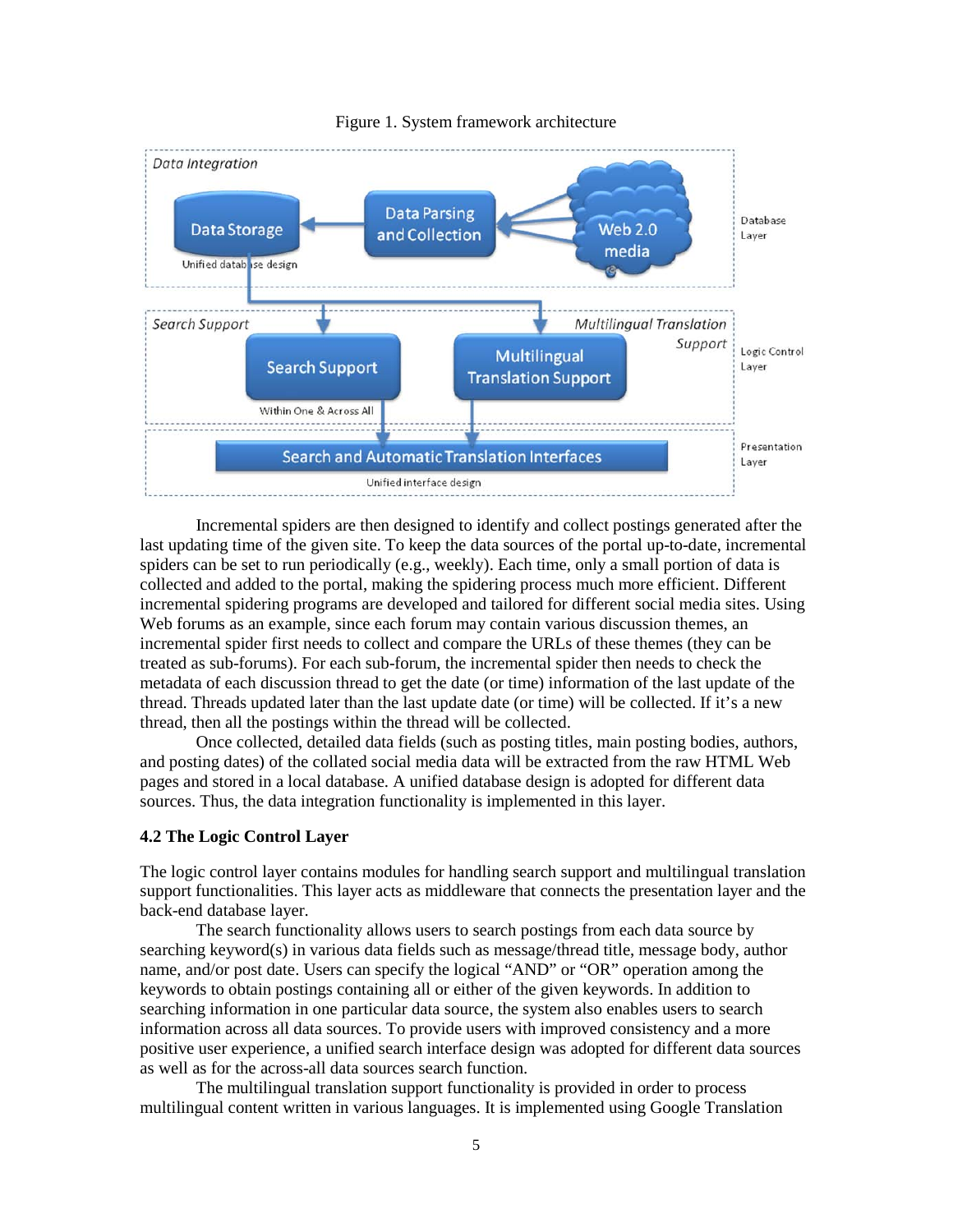

#### Figure 1. System framework architecture

Incremental spiders are then designed to identify and collect postings generated after the last updating time of the given site. To keep the data sources of the portal up-to-date, incremental spiders can be set to run periodically (e.g., weekly). Each time, only a small portion of data is collected and added to the portal, making the spidering process much more efficient. Different incremental spidering programs are developed and tailored for different social media sites. Using Web forums as an example, since each forum may contain various discussion themes, an incremental spider first needs to collect and compare the URLs of these themes (they can be treated as sub-forums). For each sub-forum, the incremental spider then needs to check the metadata of each discussion thread to get the date (or time) information of the last update of the thread. Threads updated later than the last update date (or time) will be collected. If it's a new thread, then all the postings within the thread will be collected.

Once collected, detailed data fields (such as posting titles, main posting bodies, authors, and posting dates) of the collated social media data will be extracted from the raw HTML Web pages and stored in a local database. A unified database design is adopted for different data sources. Thus, the data integration functionality is implemented in this layer.

### **4.2 The Logic Control Layer**

The logic control layer contains modules for handling search support and multilingual translation support functionalities. This layer acts as middleware that connects the presentation layer and the back-end database layer.

The search functionality allows users to search postings from each data source by searching keyword(s) in various data fields such as message/thread title, message body, author name, and/or post date. Users can specify the logical "AND" or "OR" operation among the keywords to obtain postings containing all or either of the given keywords. In addition to searching information in one particular data source, the system also enables users to search information across all data sources. To provide users with improved consistency and a more positive user experience, a unified search interface design was adopted for different data sources as well as for the across-all data sources search function.

The multilingual translation support functionality is provided in order to process multilingual content written in various languages. It is implemented using Google Translation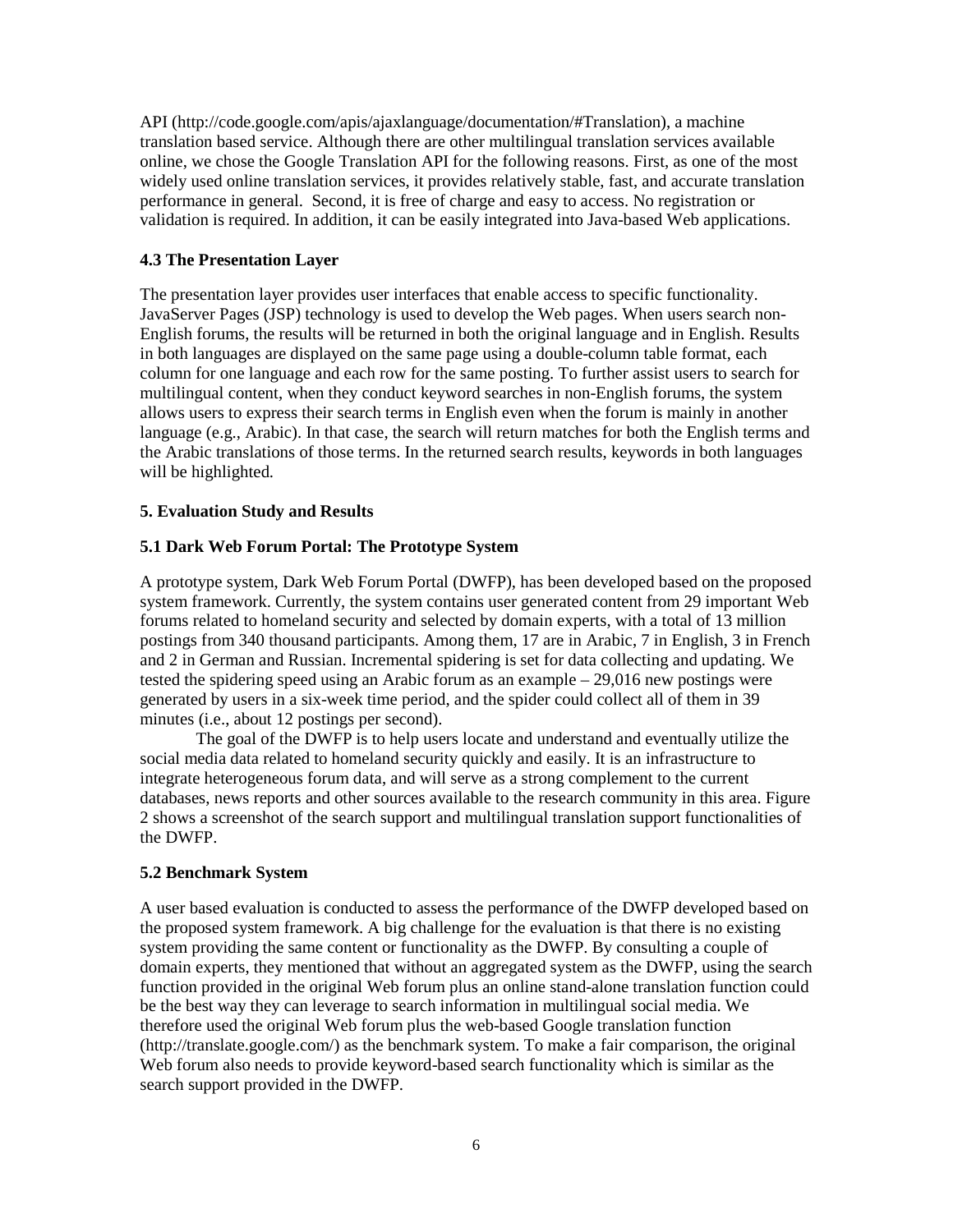API (http://code.google.com/apis/ajaxlanguage/documentation/#Translation), a machine translation based service. Although there are other multilingual translation services available online, we chose the Google Translation API for the following reasons. First, as one of the most widely used online translation services, it provides relatively stable, fast, and accurate translation performance in general. Second, it is free of charge and easy to access. No registration or validation is required. In addition, it can be easily integrated into Java-based Web applications.

# **4.3 The Presentation Layer**

The presentation layer provides user interfaces that enable access to specific functionality. JavaServer Pages (JSP) technology is used to develop the Web pages. When users search non-English forums, the results will be returned in both the original language and in English. Results in both languages are displayed on the same page using a double-column table format, each column for one language and each row for the same posting. To further assist users to search for multilingual content, when they conduct keyword searches in non-English forums, the system allows users to express their search terms in English even when the forum is mainly in another language (e.g., Arabic). In that case, the search will return matches for both the English terms and the Arabic translations of those terms. In the returned search results, keywords in both languages will be highlighted.

# **5. Evaluation Study and Results**

# **5.1 Dark Web Forum Portal: The Prototype System**

A prototype system, Dark Web Forum Portal (DWFP), has been developed based on the proposed system framework. Currently, the system contains user generated content from 29 important Web forums related to homeland security and selected by domain experts, with a total of 13 million postings from 340 thousand participants. Among them, 17 are in Arabic, 7 in English, 3 in French and 2 in German and Russian. Incremental spidering is set for data collecting and updating. We tested the spidering speed using an Arabic forum as an example – 29,016 new postings were generated by users in a six-week time period, and the spider could collect all of them in 39 minutes (i.e., about 12 postings per second).

The goal of the DWFP is to help users locate and understand and eventually utilize the social media data related to homeland security quickly and easily. It is an infrastructure to integrate heterogeneous forum data, and will serve as a strong complement to the current databases, news reports and other sources available to the research community in this area. Figure 2 shows a screenshot of the search support and multilingual translation support functionalities of the DWFP.

# **5.2 Benchmark System**

A user based evaluation is conducted to assess the performance of the DWFP developed based on the proposed system framework. A big challenge for the evaluation is that there is no existing system providing the same content or functionality as the DWFP. By consulting a couple of domain experts, they mentioned that without an aggregated system as the DWFP, using the search function provided in the original Web forum plus an online stand-alone translation function could be the best way they can leverage to search information in multilingual social media. We therefore used the original Web forum plus the web-based Google translation function [\(http://translate.google.com/\)](http://translate.google.com/) as the benchmark system. To make a fair comparison, the original Web forum also needs to provide keyword-based search functionality which is similar as the search support provided in the DWFP.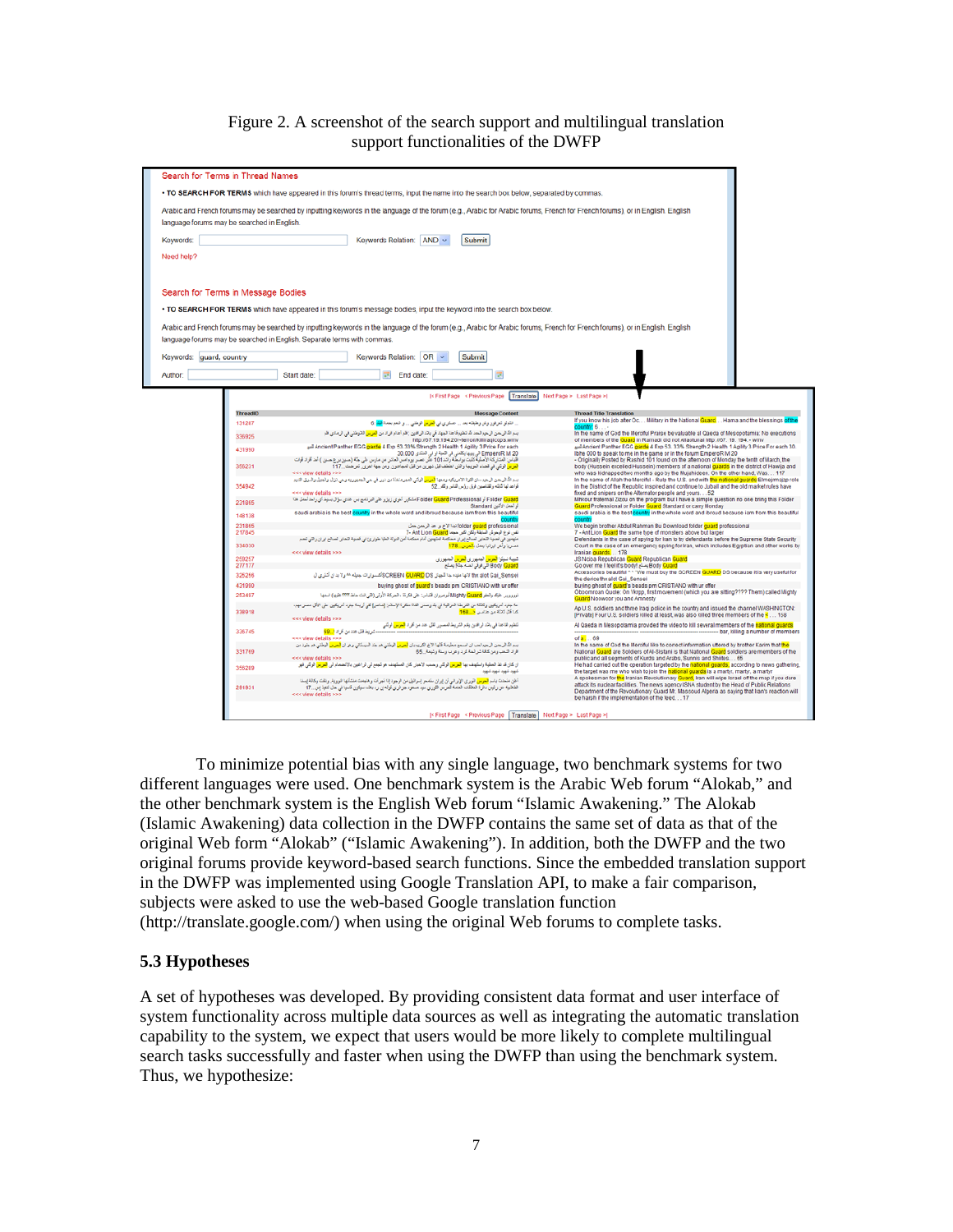### Figure 2. A screenshot of the search support and multilingual translation support functionalities of the DWFP



To minimize potential bias with any single language, two benchmark systems for two different languages were used. One benchmark system is the Arabic Web forum "Alokab," and the other benchmark system is the English Web forum "Islamic Awakening." The Alokab (Islamic Awakening) data collection in the DWFP contains the same set of data as that of the original Web form "Alokab" ("Islamic Awakening"). In addition, both the DWFP and the two original forums provide keyword-based search functions. Since the embedded translation support in the DWFP was implemented using Google Translation API, to make a fair comparison, subjects were asked to use the web-based Google translation function [\(http://translate.google.com/\)](http://translate.google.com/) when using the original Web forums to complete tasks.

### **5.3 Hypotheses**

A set of hypotheses was developed. By providing consistent data format and user interface of system functionality across multiple data sources as well as integrating the automatic translation capability to the system, we expect that users would be more likely to complete multilingual search tasks successfully and faster when using the DWFP than using the benchmark system. Thus, we hypothesize: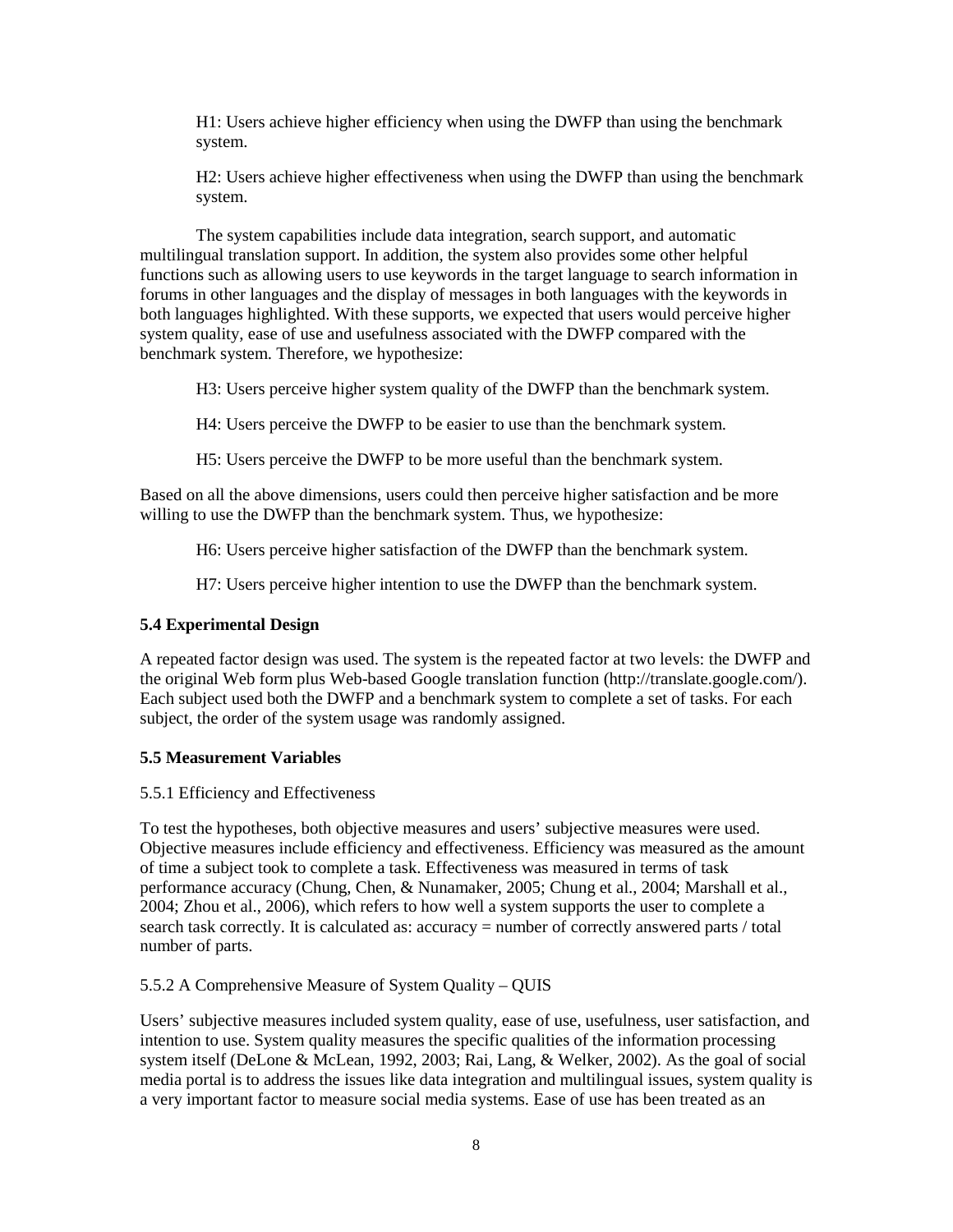H1: Users achieve higher efficiency when using the DWFP than using the benchmark system.

H2: Users achieve higher effectiveness when using the DWFP than using the benchmark system.

The system capabilities include data integration, search support, and automatic multilingual translation support. In addition, the system also provides some other helpful functions such as allowing users to use keywords in the target language to search information in forums in other languages and the display of messages in both languages with the keywords in both languages highlighted. With these supports, we expected that users would perceive higher system quality, ease of use and usefulness associated with the DWFP compared with the benchmark system. Therefore, we hypothesize:

H3: Users perceive higher system quality of the DWFP than the benchmark system.

H4: Users perceive the DWFP to be easier to use than the benchmark system.

H5: Users perceive the DWFP to be more useful than the benchmark system.

Based on all the above dimensions, users could then perceive higher satisfaction and be more willing to use the DWFP than the benchmark system. Thus, we hypothesize:

H6: Users perceive higher satisfaction of the DWFP than the benchmark system.

H7: Users perceive higher intention to use the DWFP than the benchmark system.

### **5.4 Experimental Design**

A repeated factor design was used. The system is the repeated factor at two levels: the DWFP and the original Web form plus Web-based Google translation function [\(http://translate.google.com/\)](http://translate.google.com/). Each subject used both the DWFP and a benchmark system to complete a set of tasks. For each subject, the order of the system usage was randomly assigned.

# **5.5 Measurement Variables**

5.5.1 Efficiency and Effectiveness

To test the hypotheses, both objective measures and users' subjective measures were used. Objective measures include efficiency and effectiveness. Efficiency was measured as the amount of time a subject took to complete a task. Effectiveness was measured in terms of task performance accuracy [\(Chung, Chen, & Nunamaker, 2005;](#page-13-10) [Chung et al., 2004;](#page-13-7) [Marshall et al.,](#page-14-9)  [2004;](#page-14-9) [Zhou et al., 2006\)](#page-14-10), which refers to how well a system supports the user to complete a search task correctly. It is calculated as: accuracy = number of correctly answered parts / total number of parts.

5.5.2 A Comprehensive Measure of System Quality – QUIS

Users' subjective measures included system quality, ease of use, usefulness, user satisfaction, and intention to use. System quality measures the specific qualities of the information processing system itself [\(DeLone & McLean, 1992,](#page-13-11) [2003;](#page-13-12) [Rai, Lang, & Welker, 2002\)](#page-14-11). As the goal of social media portal is to address the issues like data integration and multilingual issues, system quality is a very important factor to measure social media systems. Ease of use has been treated as an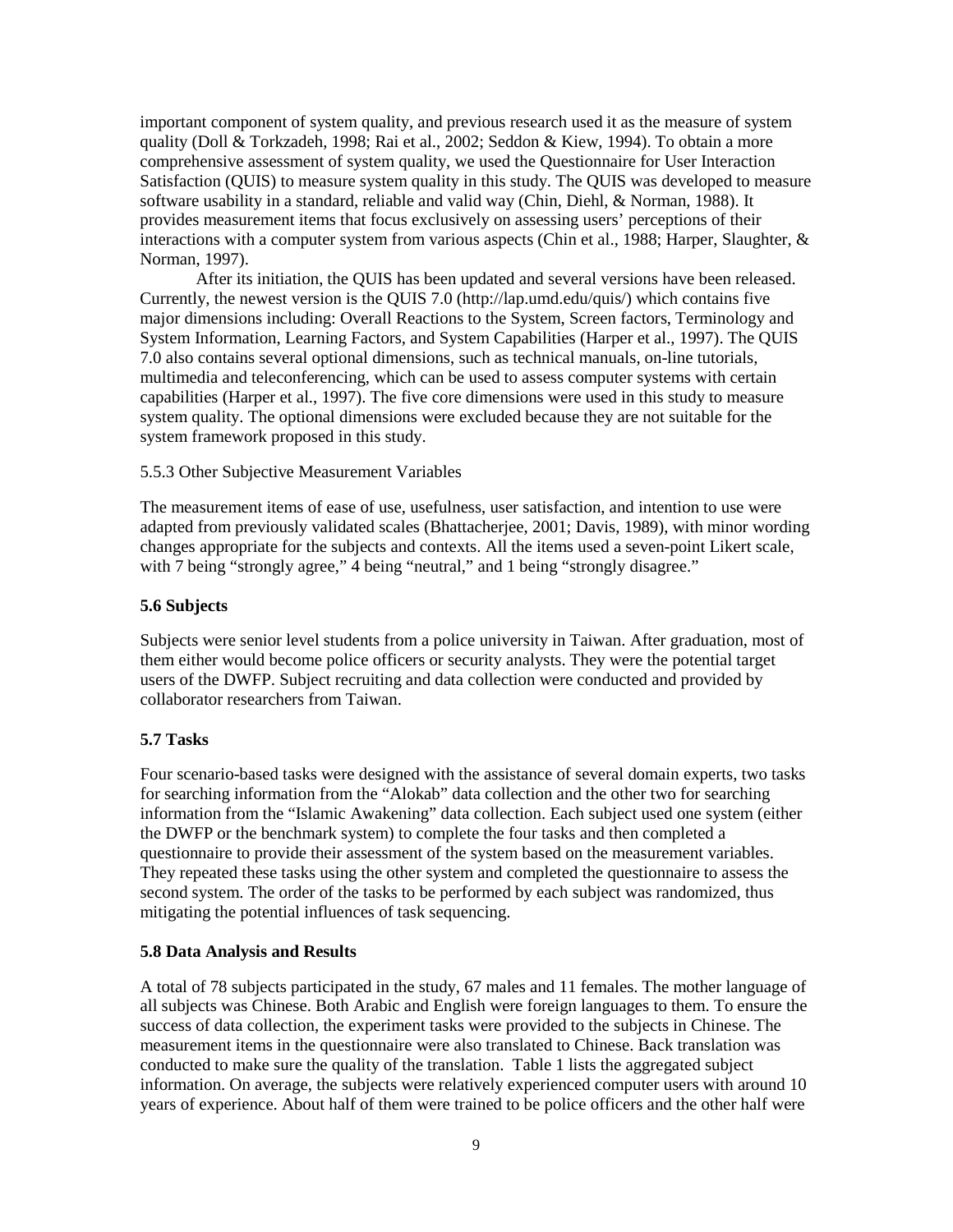important component of system quality, and previous research used it as the measure of system quality [\(Doll & Torkzadeh, 1998;](#page-13-13) [Rai et al., 2002;](#page-14-11) [Seddon & Kiew, 1994\)](#page-14-12). To obtain a more comprehensive assessment of system quality, we used the Questionnaire for User Interaction Satisfaction (QUIS) to measure system quality in this study. The QUIS was developed to measure software usability in a standard, reliable and valid way [\(Chin, Diehl, & Norman, 1988\)](#page-13-14). It provides measurement items that focus exclusively on assessing users' perceptions of their interactions with a computer system from various aspects [\(Chin et al., 1988;](#page-13-14) [Harper, Slaughter, &](#page-14-13)  [Norman, 1997\)](#page-14-13).

After its initiation, the QUIS has been updated and several versions have been released. Currently, the newest version is the QUIS 7.0 [\(http://lap.umd.edu/quis/\)](http://lap.umd.edu/quis/) which contains five major dimensions including: Overall Reactions to the System, Screen factors, Terminology and System Information, Learning Factors, and System Capabilities [\(Harper et al., 1997\)](#page-14-13). The QUIS 7.0 also contains several optional dimensions, such as technical manuals, on-line tutorials, multimedia and teleconferencing, which can be used to assess computer systems with certain capabilities [\(Harper et al., 1997\)](#page-14-13). The five core dimensions were used in this study to measure system quality. The optional dimensions were excluded because they are not suitable for the system framework proposed in this study.

### 5.5.3 Other Subjective Measurement Variables

The measurement items of ease of use, usefulness, user satisfaction, and intention to use were adapted from previously validated scales [\(Bhattacherjee, 2001;](#page-13-15) [Davis, 1989\)](#page-13-16), with minor wording changes appropriate for the subjects and contexts. All the items used a seven-point Likert scale, with 7 being "strongly agree," 4 being "neutral," and 1 being "strongly disagree."

### **5.6 Subjects**

Subjects were senior level students from a police university in Taiwan. After graduation, most of them either would become police officers or security analysts. They were the potential target users of the DWFP. Subject recruiting and data collection were conducted and provided by collaborator researchers from Taiwan.

# **5.7 Tasks**

Four scenario-based tasks were designed with the assistance of several domain experts, two tasks for searching information from the "Alokab" data collection and the other two for searching information from the "Islamic Awakening" data collection. Each subject used one system (either the DWFP or the benchmark system) to complete the four tasks and then completed a questionnaire to provide their assessment of the system based on the measurement variables. They repeated these tasks using the other system and completed the questionnaire to assess the second system. The order of the tasks to be performed by each subject was randomized, thus mitigating the potential influences of task sequencing.

# **5.8 Data Analysis and Results**

A total of 78 subjects participated in the study, 67 males and 11 females. The mother language of all subjects was Chinese. Both Arabic and English were foreign languages to them. To ensure the success of data collection, the experiment tasks were provided to the subjects in Chinese. The measurement items in the questionnaire were also translated to Chinese. Back translation was conducted to make sure the quality of the translation. Table 1 lists the aggregated subject information. On average, the subjects were relatively experienced computer users with around 10 years of experience. About half of them were trained to be police officers and the other half were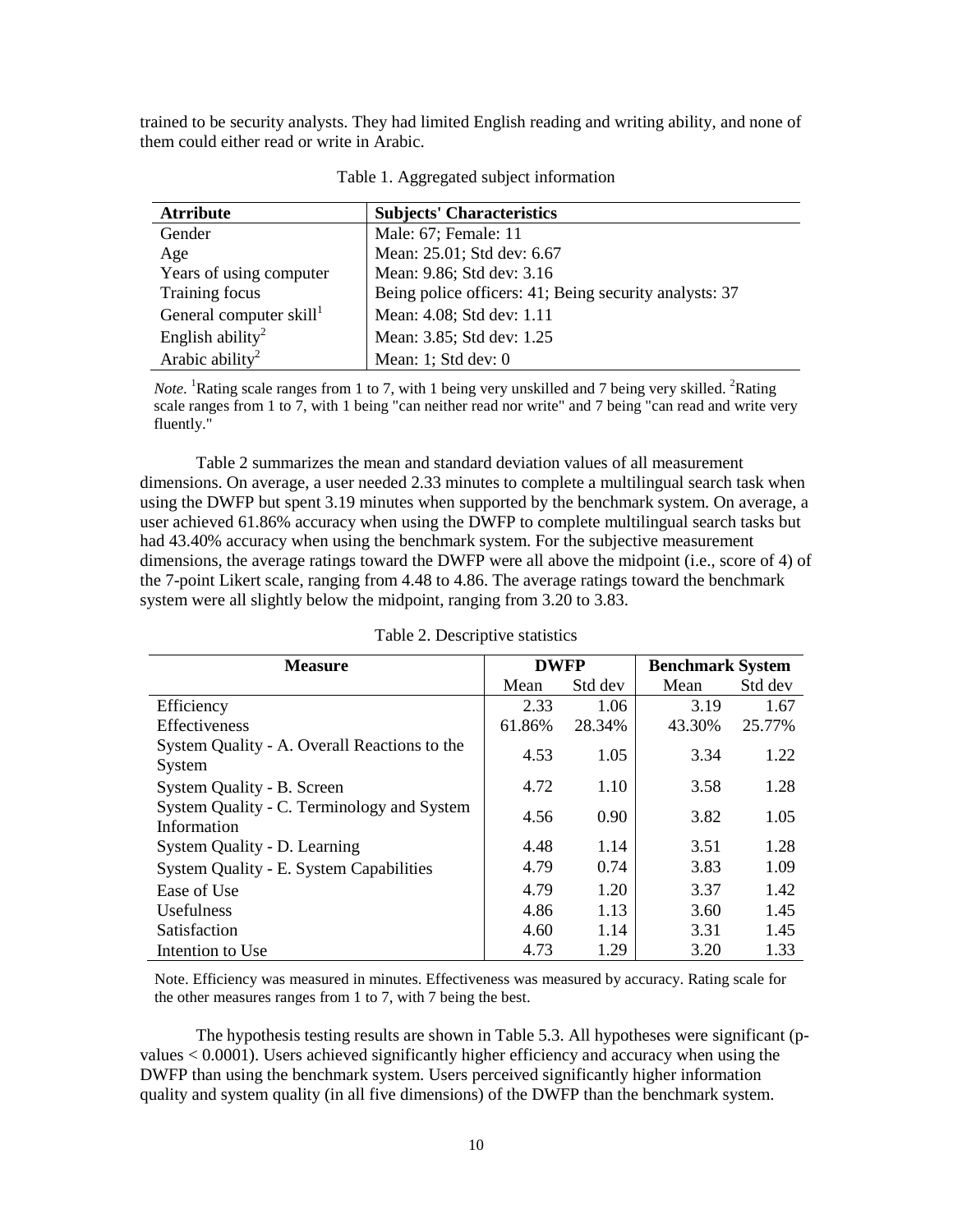trained to be security analysts. They had limited English reading and writing ability, and none of them could either read or write in Arabic.

| <b>Atrribute</b>                    | <b>Subjects' Characteristics</b>                       |
|-------------------------------------|--------------------------------------------------------|
| Gender                              | Male: 67; Female: 11                                   |
| Age                                 | Mean: 25.01; Std dev: 6.67                             |
| Years of using computer             | Mean: 9.86; Std dev: 3.16                              |
| Training focus                      | Being police officers: 41; Being security analysts: 37 |
| General computer skill <sup>1</sup> | Mean: 4.08; Std dev: 1.11                              |
| English ability <sup>2</sup>        | Mean: 3.85; Std dev: 1.25                              |
| Arabic ability <sup>2</sup>         | Mean: 1; Std dev: 0                                    |

|  |  | Table 1. Aggregated subject information |  |  |
|--|--|-----------------------------------------|--|--|
|--|--|-----------------------------------------|--|--|

*Note*. <sup>1</sup>Rating scale ranges from 1 to 7, with 1 being very unskilled and 7 being very skilled. <sup>2</sup>Rating scale ranges from 1 to 7, with 1 being "can neither read nor write" and 7 being "can read and write very fluently."

Table 2 summarizes the mean and standard deviation values of all measurement dimensions. On average, a user needed 2.33 minutes to complete a multilingual search task when using the DWFP but spent 3.19 minutes when supported by the benchmark system. On average, a user achieved 61.86% accuracy when using the DWFP to complete multilingual search tasks but had 43.40% accuracy when using the benchmark system. For the subjective measurement dimensions, the average ratings toward the DWFP were all above the midpoint (i.e., score of 4) of the 7-point Likert scale, ranging from 4.48 to 4.86. The average ratings toward the benchmark system were all slightly below the midpoint, ranging from 3.20 to 3.83.

| <b>Measure</b>                                            | <b>DWFP</b> |         | <b>Benchmark System</b> |         |
|-----------------------------------------------------------|-------------|---------|-------------------------|---------|
|                                                           | Mean        | Std dev | Mean                    | Std dev |
| Efficiency                                                | 2.33        | 1.06    | 3.19                    | 1.67    |
| <b>Effectiveness</b>                                      | 61.86%      | 28.34%  | 43.30%                  | 25.77%  |
| System Quality - A. Overall Reactions to the<br>System    | 4.53        | 1.05    | 3.34                    | 1.22    |
| System Quality - B. Screen                                | 4.72        | 1.10    | 3.58                    | 1.28    |
| System Quality - C. Terminology and System<br>Information | 4.56        | 0.90    | 3.82                    | 1.05    |
| System Quality - D. Learning                              | 4.48        | 1.14    | 3.51                    | 1.28    |
| System Quality - E. System Capabilities                   | 4.79        | 0.74    | 3.83                    | 1.09    |
| Ease of Use                                               | 4.79        | 1.20    | 3.37                    | 1.42    |
| <b>Usefulness</b>                                         | 4.86        | 1.13    | 3.60                    | 1.45    |
| <b>Satisfaction</b>                                       | 4.60        | 1.14    | 3.31                    | 1.45    |
| Intention to Use                                          | 4.73        | 1.29    | 3.20                    | 1.33    |

Table 2. Descriptive statistics

Note. Efficiency was measured in minutes. Effectiveness was measured by accuracy. Rating scale for the other measures ranges from 1 to 7, with 7 being the best.

The hypothesis testing results are shown in Table 5.3. All hypotheses were significant (pvalues < 0.0001). Users achieved significantly higher efficiency and accuracy when using the DWFP than using the benchmark system. Users perceived significantly higher information quality and system quality (in all five dimensions) of the DWFP than the benchmark system.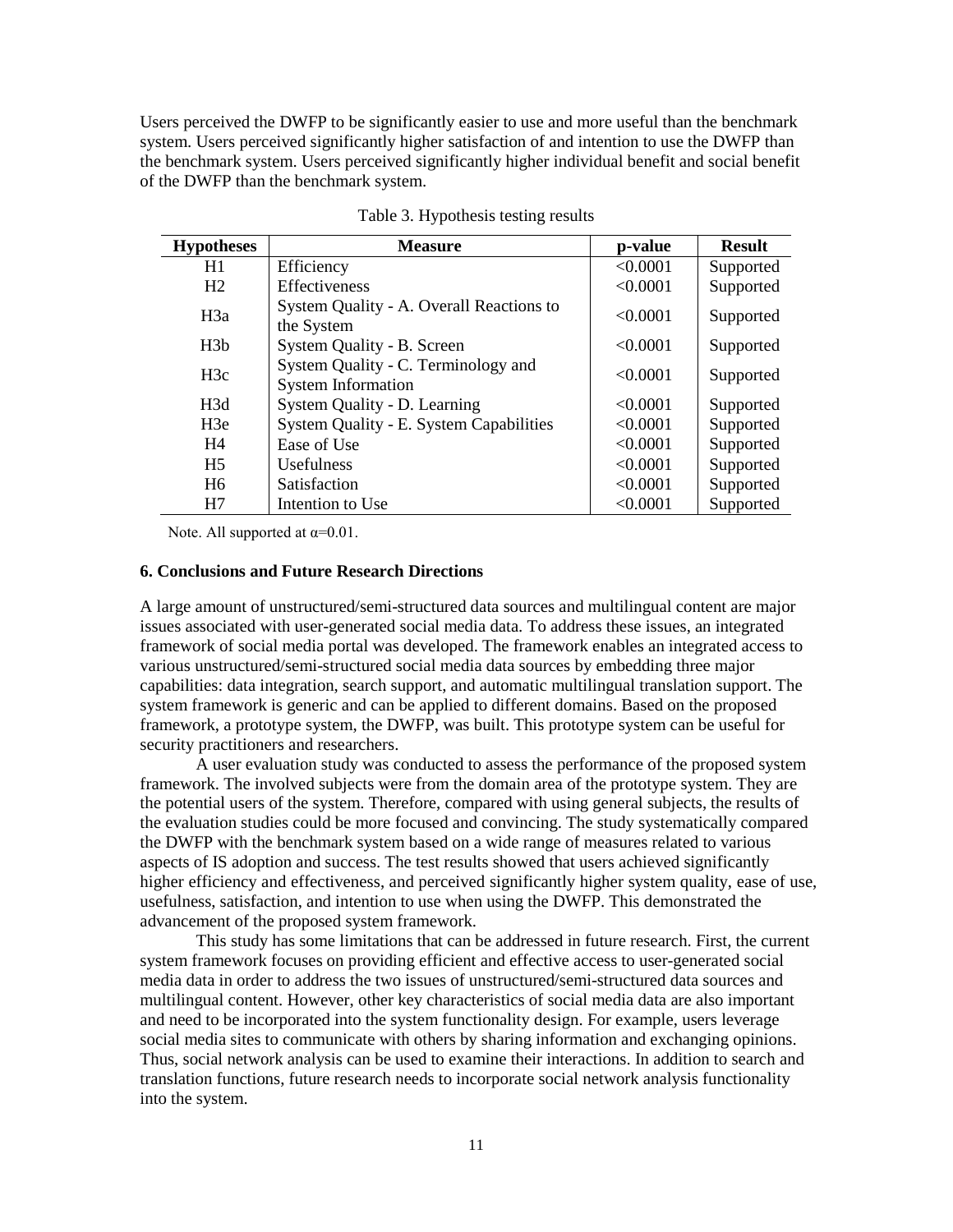Users perceived the DWFP to be significantly easier to use and more useful than the benchmark system. Users perceived significantly higher satisfaction of and intention to use the DWFP than the benchmark system. Users perceived significantly higher individual benefit and social benefit of the DWFP than the benchmark system.

| <b>Hypotheses</b> | <b>Measure</b>                                                   | p-value  | <b>Result</b> |
|-------------------|------------------------------------------------------------------|----------|---------------|
| H1                | Efficiency                                                       | < 0.0001 | Supported     |
| H <sub>2</sub>    | <b>Effectiveness</b>                                             | < 0.0001 | Supported     |
| H <sub>3</sub> a  | System Quality - A. Overall Reactions to<br>the System           | < 0.0001 | Supported     |
| H <sub>3</sub> b  | System Quality - B. Screen                                       | < 0.0001 | Supported     |
| H <sub>3c</sub>   | System Quality - C. Terminology and<br><b>System Information</b> | < 0.0001 | Supported     |
| H <sub>3</sub> d  | System Quality - D. Learning                                     | < 0.0001 | Supported     |
| H3e               | System Quality - E. System Capabilities                          | < 0.0001 | Supported     |
| H4                | Ease of Use                                                      | < 0.0001 | Supported     |
| H <sub>5</sub>    | <b>Usefulness</b>                                                | < 0.0001 | Supported     |
| H <sub>6</sub>    | <b>Satisfaction</b>                                              | < 0.0001 | Supported     |
| H7                | Intention to Use                                                 | < 0.0001 | Supported     |

Table 3. Hypothesis testing results

Note. All supported at  $\alpha=0.01$ .

### **6. Conclusions and Future Research Directions**

A large amount of unstructured/semi-structured data sources and multilingual content are major issues associated with user-generated social media data. To address these issues, an integrated framework of social media portal was developed. The framework enables an integrated access to various unstructured/semi-structured social media data sources by embedding three major capabilities: data integration, search support, and automatic multilingual translation support. The system framework is generic and can be applied to different domains. Based on the proposed framework, a prototype system, the DWFP, was built. This prototype system can be useful for security practitioners and researchers.

A user evaluation study was conducted to assess the performance of the proposed system framework. The involved subjects were from the domain area of the prototype system. They are the potential users of the system. Therefore, compared with using general subjects, the results of the evaluation studies could be more focused and convincing. The study systematically compared the DWFP with the benchmark system based on a wide range of measures related to various aspects of IS adoption and success. The test results showed that users achieved significantly higher efficiency and effectiveness, and perceived significantly higher system quality, ease of use, usefulness, satisfaction, and intention to use when using the DWFP. This demonstrated the advancement of the proposed system framework.

This study has some limitations that can be addressed in future research. First, the current system framework focuses on providing efficient and effective access to user-generated social media data in order to address the two issues of unstructured/semi-structured data sources and multilingual content. However, other key characteristics of social media data are also important and need to be incorporated into the system functionality design. For example, users leverage social media sites to communicate with others by sharing information and exchanging opinions. Thus, social network analysis can be used to examine their interactions. In addition to search and translation functions, future research needs to incorporate social network analysis functionality into the system.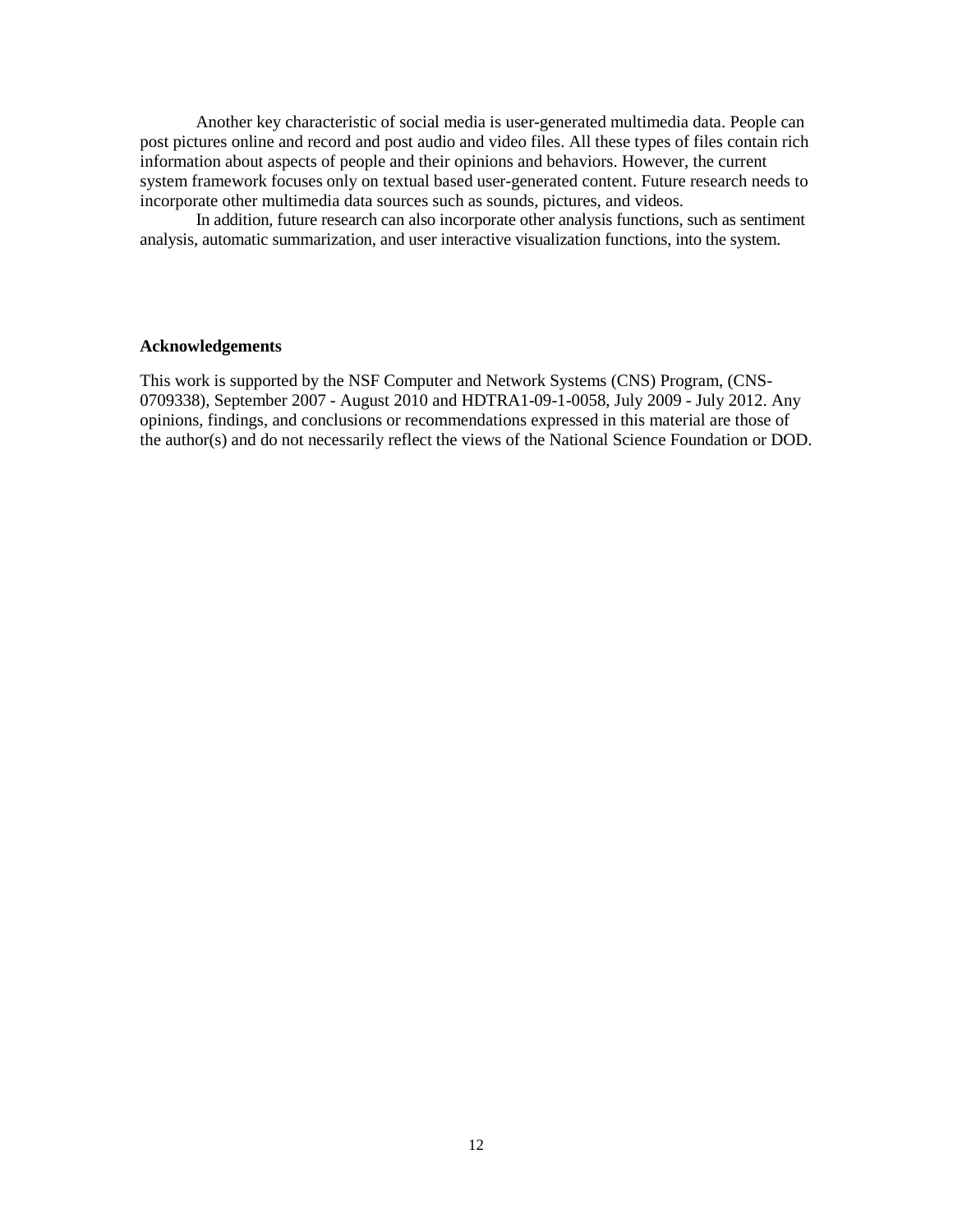Another key characteristic of social media is user-generated multimedia data. People can post pictures online and record and post audio and video files. All these types of files contain rich information about aspects of people and their opinions and behaviors. However, the current system framework focuses only on textual based user-generated content. Future research needs to incorporate other multimedia data sources such as sounds, pictures, and videos.

In addition, future research can also incorporate other analysis functions, such as sentiment analysis, automatic summarization, and user interactive visualization functions, into the system.

### **Acknowledgements**

This work is supported by the NSF Computer and Network Systems (CNS) Program, (CNS-0709338), September 2007 - August 2010 and HDTRA1-09-1-0058, July 2009 - July 2012. Any opinions, findings, and conclusions or recommendations expressed in this material are those of the author(s) and do not necessarily reflect the views of the National Science Foundation or DOD.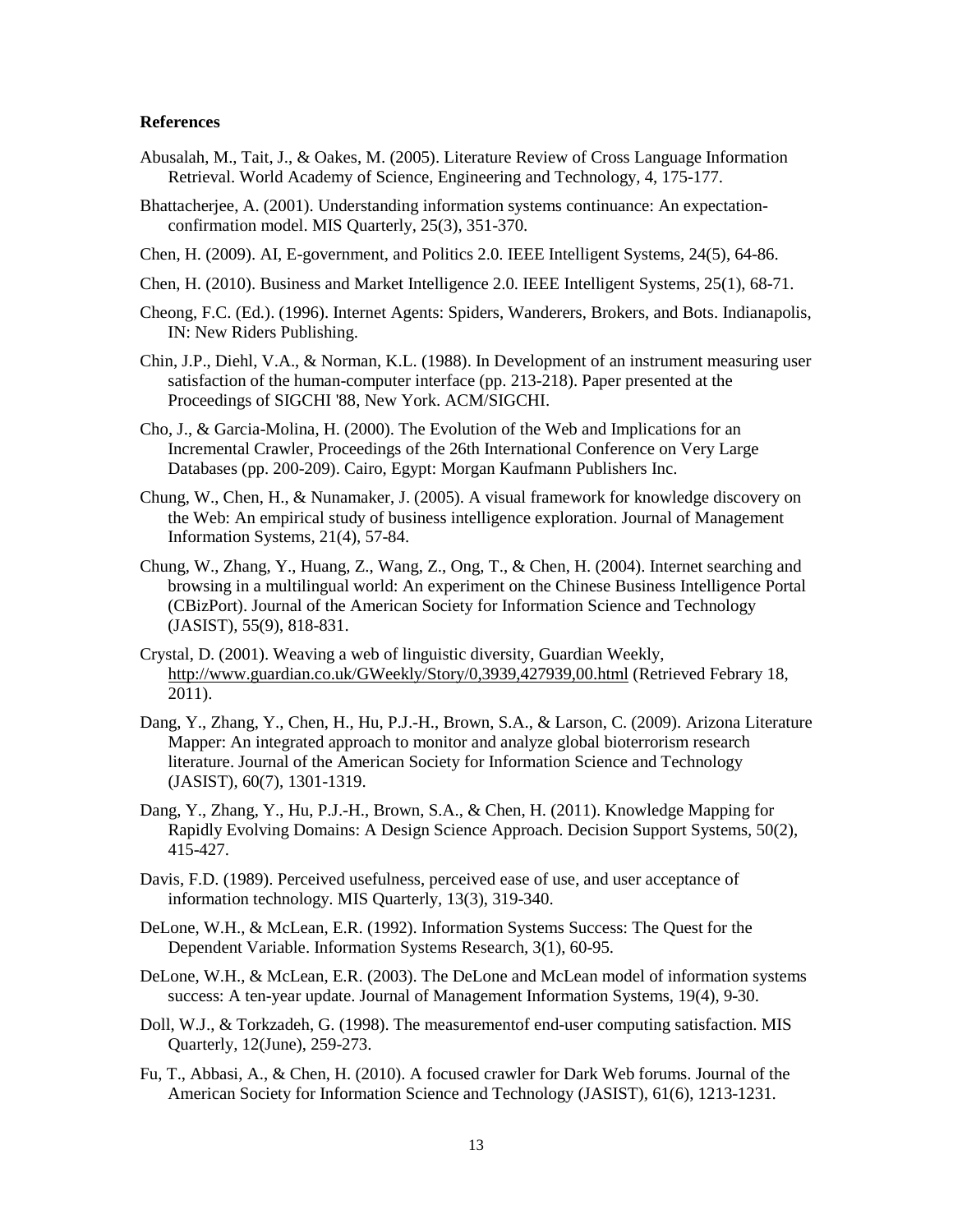### **References**

- <span id="page-13-3"></span>Abusalah, M., Tait, J., & Oakes, M. (2005). Literature Review of Cross Language Information Retrieval. World Academy of Science, Engineering and Technology*,* 4, 175-177.
- <span id="page-13-15"></span>Bhattacherjee, A. (2001). Understanding information systems continuance: An expectationconfirmation model. MIS Quarterly*,* 25(3), 351-370.
- <span id="page-13-1"></span>Chen, H. (2009). AI, E-government, and Politics 2.0. IEEE Intelligent Systems*,* 24(5), 64-86.
- <span id="page-13-0"></span>Chen, H. (2010). Business and Market Intelligence 2.0. IEEE Intelligent Systems*,* 25(1), 68-71.
- <span id="page-13-4"></span>Cheong, F.C. (Ed.). (1996). Internet Agents: Spiders, Wanderers, Brokers, and Bots. Indianapolis, IN: New Riders Publishing.
- <span id="page-13-14"></span>Chin, J.P., Diehl, V.A., & Norman, K.L. (1988). In Development of an instrument measuring user satisfaction of the human-computer interface (pp. 213-218). Paper presented at the Proceedings of SIGCHI '88, New York. ACM/SIGCHI.
- <span id="page-13-6"></span>Cho, J., & Garcia-Molina, H. (2000). The Evolution of the Web and Implications for an Incremental Crawler, Proceedings of the 26th International Conference on Very Large Databases (pp. 200-209). Cairo, Egypt: Morgan Kaufmann Publishers Inc.
- <span id="page-13-10"></span>Chung, W., Chen, H., & Nunamaker, J. (2005). A visual framework for knowledge discovery on the Web: An empirical study of business intelligence exploration. Journal of Management Information Systems*,* 21(4), 57-84.
- <span id="page-13-7"></span>Chung, W., Zhang, Y., Huang, Z., Wang, Z., Ong, T., & Chen, H. (2004). Internet searching and browsing in a multilingual world: An experiment on the Chinese Business Intelligence Portal (CBizPort). Journal of the American Society for Information Science and Technology (JASIST)*,* 55(9), 818-831.
- <span id="page-13-2"></span>Crystal, D. (2001). Weaving a web of linguistic diversity, Guardian Weekly, <http://www.guardian.co.uk/GWeekly/Story/0,3939,427939,00.html> (Retrieved Febrary 18, 2011).
- <span id="page-13-8"></span>Dang, Y., Zhang, Y., Chen, H., Hu, P.J.-H., Brown, S.A., & Larson, C. (2009). Arizona Literature Mapper: An integrated approach to monitor and analyze global bioterrorism research literature. Journal of the American Society for Information Science and Technology (JASIST)*,* 60(7), 1301-1319.
- <span id="page-13-9"></span>Dang, Y., Zhang, Y., Hu, P.J.-H., Brown, S.A., & Chen, H. (2011). Knowledge Mapping for Rapidly Evolving Domains: A Design Science Approach. Decision Support Systems*,* 50(2), 415-427.
- <span id="page-13-16"></span>Davis, F.D. (1989). Perceived usefulness, perceived ease of use, and user acceptance of information technology. MIS Quarterly*,* 13(3), 319-340.
- <span id="page-13-11"></span>DeLone, W.H., & McLean, E.R. (1992). Information Systems Success: The Quest for the Dependent Variable. Information Systems Research*,* 3(1), 60-95.
- <span id="page-13-12"></span>DeLone, W.H., & McLean, E.R. (2003). The DeLone and McLean model of information systems success: A ten-year update. Journal of Management Information Systems*,* 19(4), 9-30.
- <span id="page-13-13"></span>Doll, W.J., & Torkzadeh, G. (1998). The measurementof end-user computing satisfaction. MIS Quarterly*,* 12(June), 259-273.
- <span id="page-13-5"></span>Fu, T., Abbasi, A., & Chen, H. (2010). A focused crawler for Dark Web forums. Journal of the American Society for Information Science and Technology (JASIST)*,* 61(6), 1213-1231.